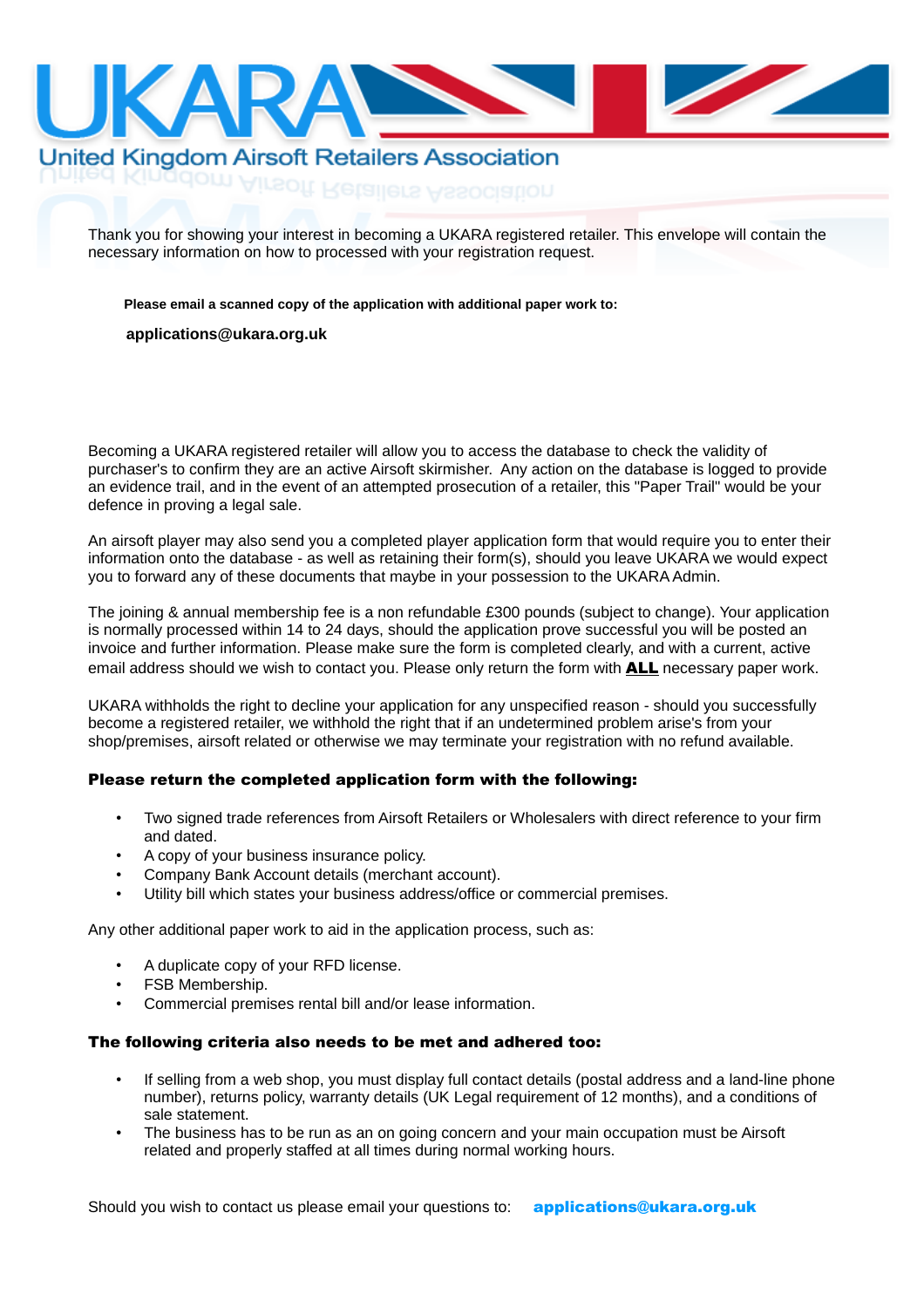

# **United Kingdom Airsoft Retailers Association** gdom Airsoft Retailers Association

Thank you for showing your interest in becoming a UKARA registered retailer. This envelope will contain the necessary information on how to processed with your registration request.

**Please email a scanned copy of the application with additional paper work to:**

#### UKARA Applications **applications@ukara.org.uk**Hollygrove

Becoming a UKARA registered retailer will allow you to access the database to check the validity of purchaser's to confirm they are an active Airsoft skirmisher. Any action on the database is logged to provide an evidence trail, and in the event of an attempted prosecution of a retailer, this "Paper Trail" would be your defence in proving a legal sale.

An airsoft player may also send you a completed player application form that would require you to enter their information onto the database - as well as retaining their form(s), should you leave UKARA we would expect you to forward any of these documents that maybe in your possession to the UKARA Admin.

The joining & annual membership fee is a non refundable £300 pounds (subject to change). Your application is normally processed within 14 to 24 days, should the application prove successful you will be posted an invoice and further information. Please make sure the form is completed clearly, and with a current, active email address should we wish to contact you. Please only return the form with **ALL** necessary paper work.

UKARA withholds the right to decline your application for any unspecified reason - should you successfully become a registered retailer, we withhold the right that if an undetermined problem arise's from your shop/premises, airsoft related or otherwise we may terminate your registration with no refund available.

### Please return the completed application form with the following:

- Two signed trade references from Airsoft Retailers or Wholesalers with direct reference to your firm and dated.
- A copy of your business insurance policy.
- Company Bank Account details (merchant account).
- Utility bill which states your business address/office or commercial premises.

Any other additional paper work to aid in the application process, such as:

- A duplicate copy of your RFD license.
- FSB Membership.
- Commercial premises rental bill and/or lease information.

#### The following criteria also needs to be met and adhered too:

- If selling from a web shop, you must display full contact details (postal address and a land-line phone number), returns policy, warranty details (UK Legal requirement of 12 months), and a conditions of sale statement.
- The business has to be run as an on going concern and your main occupation must be Airsoft related and properly staffed at all times during normal working hours.

Should you wish to contact us please email your questions to: **applications@ukara.org.uk**